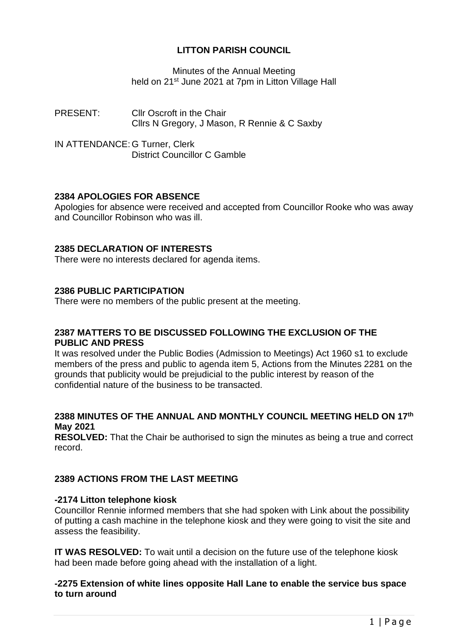# **LITTON PARISH COUNCIL**

Minutes of the Annual Meeting held on 21st June 2021 at 7pm in Litton Village Hall

PRESENT: Cllr Oscroft in the Chair Cllrs N Gregory, J Mason, R Rennie & C Saxby

IN ATTENDANCE: G Turner, Clerk District Councillor C Gamble

# **2384 APOLOGIES FOR ABSENCE**

Apologies for absence were received and accepted from Councillor Rooke who was away and Councillor Robinson who was ill.

# **2385 DECLARATION OF INTERESTS**

There were no interests declared for agenda items.

### **2386 PUBLIC PARTICIPATION**

There were no members of the public present at the meeting.

### **2387 MATTERS TO BE DISCUSSED FOLLOWING THE EXCLUSION OF THE PUBLIC AND PRESS**

It was resolved under the Public Bodies (Admission to Meetings) Act 1960 s1 to exclude members of the press and public to agenda item 5, Actions from the Minutes 2281 on the grounds that publicity would be prejudicial to the public interest by reason of the confidential nature of the business to be transacted.

# **2388 MINUTES OF THE ANNUAL AND MONTHLY COUNCIL MEETING HELD ON 17th May 2021**

**RESOLVED:** That the Chair be authorised to sign the minutes as being a true and correct record.

# **2389 ACTIONS FROM THE LAST MEETING**

### **-2174 Litton telephone kiosk**

Councillor Rennie informed members that she had spoken with Link about the possibility of putting a cash machine in the telephone kiosk and they were going to visit the site and assess the feasibility.

**IT WAS RESOLVED:** To wait until a decision on the future use of the telephone kiosk had been made before going ahead with the installation of a light.

### **-2275 Extension of white lines opposite Hall Lane to enable the service bus space to turn around**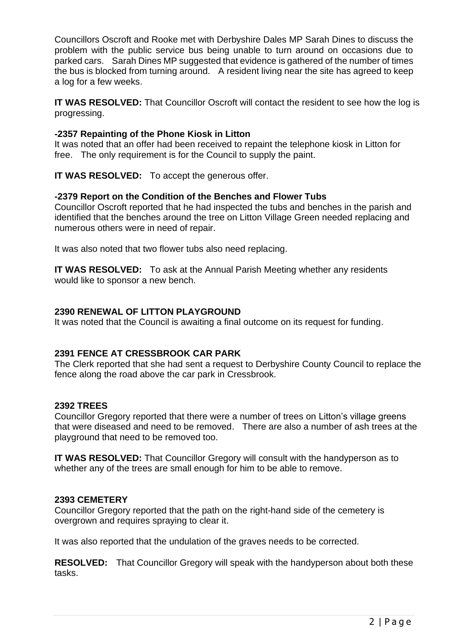Councillors Oscroft and Rooke met with Derbyshire Dales MP Sarah Dines to discuss the problem with the public service bus being unable to turn around on occasions due to parked cars. Sarah Dines MP suggested that evidence is gathered of the number of times the bus is blocked from turning around. A resident living near the site has agreed to keep a log for a few weeks.

**IT WAS RESOLVED:** That Councillor Oscroft will contact the resident to see how the log is progressing.

# **-2357 Repainting of the Phone Kiosk in Litton**

It was noted that an offer had been received to repaint the telephone kiosk in Litton for free. The only requirement is for the Council to supply the paint.

**IT WAS RESOLVED:** To accept the generous offer.

# **-2379 Report on the Condition of the Benches and Flower Tubs**

Councillor Oscroft reported that he had inspected the tubs and benches in the parish and identified that the benches around the tree on Litton Village Green needed replacing and numerous others were in need of repair.

It was also noted that two flower tubs also need replacing.

**IT WAS RESOLVED:** To ask at the Annual Parish Meeting whether any residents would like to sponsor a new bench.

# **2390 RENEWAL OF LITTON PLAYGROUND**

It was noted that the Council is awaiting a final outcome on its request for funding.

### **2391 FENCE AT CRESSBROOK CAR PARK**

The Clerk reported that she had sent a request to Derbyshire County Council to replace the fence along the road above the car park in Cressbrook.

### **2392 TREES**

Councillor Gregory reported that there were a number of trees on Litton's village greens that were diseased and need to be removed. There are also a number of ash trees at the playground that need to be removed too.

**IT WAS RESOLVED:** That Councillor Gregory will consult with the handyperson as to whether any of the trees are small enough for him to be able to remove.

### **2393 CEMETERY**

Councillor Gregory reported that the path on the right-hand side of the cemetery is overgrown and requires spraying to clear it.

It was also reported that the undulation of the graves needs to be corrected.

**RESOLVED:** That Councillor Gregory will speak with the handyperson about both these tasks.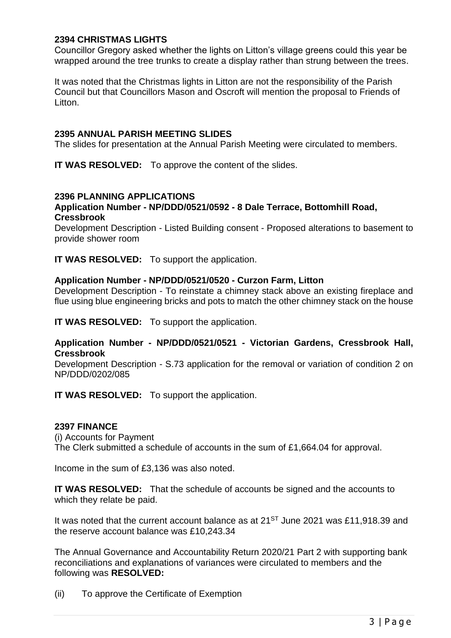### **2394 CHRISTMAS LIGHTS**

Councillor Gregory asked whether the lights on Litton's village greens could this year be wrapped around the tree trunks to create a display rather than strung between the trees.

It was noted that the Christmas lights in Litton are not the responsibility of the Parish Council but that Councillors Mason and Oscroft will mention the proposal to Friends of Litton.

#### **2395 ANNUAL PARISH MEETING SLIDES**

The slides for presentation at the Annual Parish Meeting were circulated to members.

**IT WAS RESOLVED:** To approve the content of the slides.

# **2396 PLANNING APPLICATIONS**

### **Application Number - NP/DDD/0521/0592 - 8 Dale Terrace, Bottomhill Road, Cressbrook**

Development Description - Listed Building consent - Proposed alterations to basement to provide shower room

**IT WAS RESOLVED:** To support the application.

#### **Application Number - NP/DDD/0521/0520 - Curzon Farm, Litton**

Development Description - To reinstate a chimney stack above an existing fireplace and flue using blue engineering bricks and pots to match the other chimney stack on the house

**IT WAS RESOLVED:** To support the application.

#### **Application Number - NP/DDD/0521/0521 - Victorian Gardens, Cressbrook Hall, Cressbrook**

Development Description - S.73 application for the removal or variation of condition 2 on NP/DDD/0202/085

**IT WAS RESOLVED:** To support the application.

#### **2397 FINANCE**

(i) Accounts for Payment

The Clerk submitted a schedule of accounts in the sum of £1,664.04 for approval.

Income in the sum of £3,136 was also noted.

**IT WAS RESOLVED:** That the schedule of accounts be signed and the accounts to which they relate be paid.

It was noted that the current account balance as at 21<sup>ST</sup> June 2021 was £11,918.39 and the reserve account balance was £10,243.34

The Annual Governance and Accountability Return 2020/21 Part 2 with supporting bank reconciliations and explanations of variances were circulated to members and the following was **RESOLVED:**

(ii) To approve the Certificate of Exemption